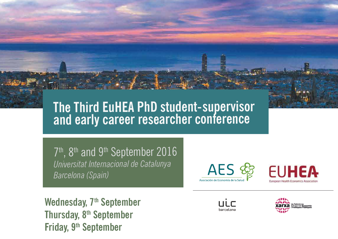# **The Third EuHEA PhD student-supervisor and early career researcher conference**

7<sup>th</sup>, 8<sup>th</sup> and 9<sup>th</sup> September 2016 *Universitat Internacional de Catalunya Barcelona (Spain)*

Asociación de Economía de la

Wednesday, 7<sup>th</sup> September **Thursday, 8th September Friday, 9th September**



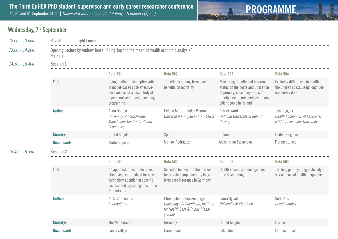### **Wednesday, 7<sup>th</sup> September**

| $12:00 - 13:00h$ | Registration and Light Lunch                                                                              |                                                                                                                                                          |                                                                                                               |                                                                                                                                                                           |                                                                                              |  |  |
|------------------|-----------------------------------------------------------------------------------------------------------|----------------------------------------------------------------------------------------------------------------------------------------------------------|---------------------------------------------------------------------------------------------------------------|---------------------------------------------------------------------------------------------------------------------------------------------------------------------------|----------------------------------------------------------------------------------------------|--|--|
| $13:00 - 14:20h$ | Opening Lecture by Andrew Jones "Going 'beyond the mean' in health economic analysis"<br><b>Main Hall</b> |                                                                                                                                                          |                                                                                                               |                                                                                                                                                                           |                                                                                              |  |  |
| $14:50 - 15:40h$ | <b>Session 1</b>                                                                                          |                                                                                                                                                          |                                                                                                               |                                                                                                                                                                           |                                                                                              |  |  |
|                  |                                                                                                           | <b>Beta 501</b>                                                                                                                                          | <b>Beta 502</b>                                                                                               | <b>Beta 503</b>                                                                                                                                                           | <b>Beta 504</b>                                                                              |  |  |
|                  | Title:                                                                                                    | Using mathematical optimisation<br>in model-based cost-effective-<br>ness analyses: a case study of<br>a personalised breast screening<br>programme      | The effects of long-term care<br>benefits on mortality                                                        | Measuring the effect of insurance<br>status on the costs and utilisation<br>of primary, secondary and com-<br>munity healthcare services among<br>older people in Ireland | Exploring differences in health on<br>the English coast, using longitudi-<br>nal survey data |  |  |
|                  | Author:                                                                                                   | Anna Donten<br>University of Manchester,<br>Manchester Centre for Health<br>Economics                                                                    | Helena M. Hernandez Pizarro<br>Universitat Pompeu Fabra - CRES                                                | Patrick Ward<br>National University of Ireland<br>Galway                                                                                                                  | <b>Jack Higgins</b><br><b>Health Economics At Lancaster</b><br>(HEAL), Lancaster University  |  |  |
|                  | <b>Country:</b>                                                                                           | <b>United Kingdom</b>                                                                                                                                    | Spain                                                                                                         | Ireland                                                                                                                                                                   | <b>United Kingdom</b>                                                                        |  |  |
|                  | <b>Discussant:</b>                                                                                        | Marta Trapero                                                                                                                                            | Marisol Rodríguez                                                                                             | Alexandrina Stoyanova                                                                                                                                                     | Florence Jusot                                                                               |  |  |
| $15:45 - 16:35h$ | <b>Session 2</b>                                                                                          |                                                                                                                                                          |                                                                                                               |                                                                                                                                                                           |                                                                                              |  |  |
|                  |                                                                                                           | <b>Beta 501</b>                                                                                                                                          | <b>Beta 502</b>                                                                                               | <b>Beta 503</b>                                                                                                                                                           | <b>Beta 504</b>                                                                              |  |  |
|                  | Title:                                                                                                    | An approach to estimate a cost<br>effectiveness threshold for new<br>technology adoption in specific<br>disease and age categories in the<br>Netherlands | Selection behavior in the market<br>for private complementary long-<br>term care insurance in Germany         | Health shocks and endogenous<br>time discounting                                                                                                                          | The long journey: diagnostic odys-<br>sey and social health inequalities                     |  |  |
|                  | Author:                                                                                                   | <b>Niek Stadhouders</b><br>Radboudumc                                                                                                                    | Christopher Schreckenberger<br>University of Hohenheim, Institute<br>for Health Care & Public Mana-<br>gement | Laura Dysart<br>University of Aberdeen                                                                                                                                    | Setti Rais<br>Hospinnomics                                                                   |  |  |
|                  | <b>Country:</b>                                                                                           | The Netherlands                                                                                                                                          | Germany                                                                                                       | <b>United Kingdom</b>                                                                                                                                                     | France                                                                                       |  |  |
|                  | <b>Discussant:</b>                                                                                        | Laura Vallejo                                                                                                                                            | Carine Franc                                                                                                  | Luke Munford                                                                                                                                                              | Florence Jusot                                                                               |  |  |

**PROGRAMME**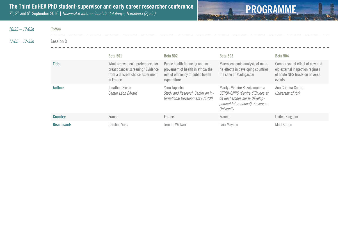

*16:35 – 17:05h Coffee*

*17:05 – 17:55h* **Session 3**

|                 | <b>Beta 501</b>                                                                                                         | <b>Beta 502</b>                                                                                                             | Beta 503                                                                                                                                                 | <b>Beta 504</b>                                                                                                |
|-----------------|-------------------------------------------------------------------------------------------------------------------------|-----------------------------------------------------------------------------------------------------------------------------|----------------------------------------------------------------------------------------------------------------------------------------------------------|----------------------------------------------------------------------------------------------------------------|
| Title:          | What are women's preferences for<br>breast cancer screening? Evidence<br>from a discrete choice experiment<br>in France | Public health financing and im-<br>provement of health in africa: the<br>role of efficiency of public health<br>expenditure | Macroeconomic analysis of mala-<br>ria effects in developing countries:<br>the case of Madagascar                                                        | Comparison of effect of new and<br>old external inspection regimes<br>of acute NHS trusts on adverse<br>events |
| Author:         | Jonathan Sicsic<br>Centre Léon Bérard                                                                                   | Yann Tapsoba<br>Study and Research Center on in-<br>ternational Development (CERDI)                                         | Marilys Victoire Razakamanana<br><b>CERDI-CNRS (Centre d'Etudes et</b><br>de Recherches sur le Dévelop-<br>pement International), Auvergne<br>University | Ana Cristina Castro<br>University of York                                                                      |
| <b>Country:</b> | France                                                                                                                  | France                                                                                                                      | France                                                                                                                                                   | United Kingdom                                                                                                 |
| Discussant:     | Caroline Vass                                                                                                           | Jerome Wittwer                                                                                                              | Laia Maynou                                                                                                                                              | <b>Matt Sutton</b>                                                                                             |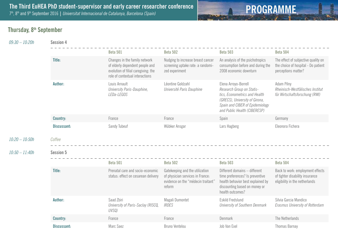

### **Thursday, 8th September**

*09:30 – 10:20h* **Session 4**

 $10:20 - 10:50h$ 

 $10:50 - 11:40h$ 

|                    | <b>Beta 501</b>                                                                                                                            | <b>Beta 502</b>                                                                                                     | <b>Beta 503</b>                                                                                                                                                                         | <b>Beta 504</b>                                                                                       |
|--------------------|--------------------------------------------------------------------------------------------------------------------------------------------|---------------------------------------------------------------------------------------------------------------------|-----------------------------------------------------------------------------------------------------------------------------------------------------------------------------------------|-------------------------------------------------------------------------------------------------------|
| Title:             | Changes in the family network<br>of elderly dependent people and<br>evolution of filial caregiving: the<br>role of contextual interactions | Nudging to increase breast cancer<br>screening uptake rate: a randomi-<br>zed experiment                            | An analysis of the psichotropics<br>consumption before and during the<br>2008 economic downturn                                                                                         | The effect of subjective quality on<br>the choice of hospital - Do patient<br>perceptions matter?     |
| Author:            | Louis Arnault<br>University Paris-Dauphine,<br>LEDa-LEGOS                                                                                  | Léontine Goldzahl<br>Université Paris Dauphine                                                                      | Elena Arroyo-Borrell<br>Research Group on Statis-<br>tics, Econometrics and Health<br>(GRECS), University of Girona,<br>Spain and CIBER of Epidemiology<br>and Public Health (CIBERESP) | <b>Adam Pilny</b><br>Rheinisch-Westfälisches Institut<br>für Wirtschaftsforschung (RWI)               |
| <b>Country:</b>    | France                                                                                                                                     | France                                                                                                              | Spain                                                                                                                                                                                   | Germany                                                                                               |
| <b>Discussant:</b> | Sandy Tubeuf                                                                                                                               | Wübker Ansgar                                                                                                       | Lars Hagberg                                                                                                                                                                            | Eleonora Fichera                                                                                      |
| Coffee             |                                                                                                                                            |                                                                                                                     |                                                                                                                                                                                         |                                                                                                       |
| <b>Session 5</b>   |                                                                                                                                            |                                                                                                                     |                                                                                                                                                                                         |                                                                                                       |
|                    | <b>Beta 501</b>                                                                                                                            | <b>Beta 502</b>                                                                                                     | <b>Beta 503</b>                                                                                                                                                                         | <b>Beta 504</b>                                                                                       |
| Title:             | Prenatal care and socio-economic<br>status: effect on cesarean delivery                                                                    | Gatekeeping and the utilization<br>of physician services in France:<br>evidence on the "médecin traitant"<br>reform | Different domains - different<br>time preferences? Is preventive<br>health behavior best explained by<br>discounting based on money or<br>health outcomes?                              | Back to work: employment effects<br>of tighter disability insurance<br>eligibility in the netherlands |
| Author:            | Saad Zbiri<br>University of Paris-Saclay (RISCQ,                                                                                           | Magali Dumontet<br><b>IRDES</b>                                                                                     | Eskild Fredslund<br>University of Southern Denmark                                                                                                                                      | Silvia Garcia Mandico<br>Erasmus University of Rotterdam                                              |
|                    | UVSQ)                                                                                                                                      |                                                                                                                     |                                                                                                                                                                                         |                                                                                                       |
| <b>Country:</b>    | France                                                                                                                                     | France                                                                                                              | Denmark                                                                                                                                                                                 | The Netherlands                                                                                       |

**Discussant:** Marc Saez Marc Saez Bruno Ventelou Job Van Exel Job Van Exel Thomas Barnay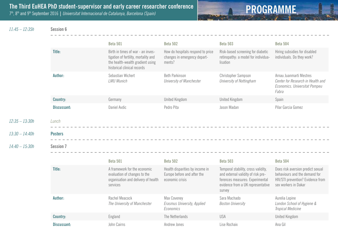

*11:45 – 12:35h* **Session 6**

|                  |                    | <b>Beta 501</b>                                                                                                                              | <b>Beta 502</b>                                                                   | <b>Beta 503</b>                                                                                                                                             | <b>Beta 504</b>                                                                                                                 |
|------------------|--------------------|----------------------------------------------------------------------------------------------------------------------------------------------|-----------------------------------------------------------------------------------|-------------------------------------------------------------------------------------------------------------------------------------------------------------|---------------------------------------------------------------------------------------------------------------------------------|
|                  | Title:             | Birth in times of war - an inves-<br>tigation of fertility, mortality and<br>the health-wealth gradient using<br>historical clinical records | How do hospitals respond to price<br>changes in emergency depart-<br>ments?       | Risk-based screening for diabetic<br>retinopathy: a model for individua-<br>lisation                                                                        | Hiring subsidies for disabled<br>individuals. Do they work?                                                                     |
|                  | Author:            | Sebastian Wichert<br><b>LMU Munich</b>                                                                                                       | <b>Beth Parkinson</b><br>University of Manchester                                 | Christopher Sampson<br>University of Nottingham                                                                                                             | Arnau Juanmarti Mestres<br>Center for Research in Health and<br>Economics. Universitat Pompeu<br>Fabra                          |
|                  | <b>Country:</b>    | Germany                                                                                                                                      | <b>United Kingdom</b>                                                             | <b>United Kingdom</b>                                                                                                                                       | Spain                                                                                                                           |
|                  | Discussant:        | Daniel Avdic                                                                                                                                 | Pedro Pita                                                                        | Jason Madan                                                                                                                                                 | Pilar Garcia Gomez                                                                                                              |
| $12:35 - 13:30h$ | Lunch              |                                                                                                                                              |                                                                                   |                                                                                                                                                             |                                                                                                                                 |
| $13:30 - 14:40h$ | <b>Posters</b>     |                                                                                                                                              |                                                                                   |                                                                                                                                                             |                                                                                                                                 |
| $14:40 - 15:30h$ | <b>Session 7</b>   |                                                                                                                                              |                                                                                   |                                                                                                                                                             |                                                                                                                                 |
|                  |                    | <b>Beta 501</b>                                                                                                                              | <b>Beta 502</b>                                                                   | <b>Beta 503</b>                                                                                                                                             | <b>Beta 504</b>                                                                                                                 |
|                  | Title:             | A framework for the economic<br>evaluation of changes to the<br>organisation and delivery of health<br>services                              | Health disparities by income in<br>Europe before and after the<br>economic crisis | Temporal stability, cross validity,<br>and external validity of risk pre-<br>ferences measures: Experimental<br>evidence from a UK representative<br>survey | Does risk aversion predict sexual<br>behaviours and the demand for<br>HIV/STI prevention? Evidence from<br>sex workers in Dakar |
|                  | Author:            | Rachel Meacock<br>The University of Manchester                                                                                               | Max Coveney<br>Erasmus University, Applied<br>Economics                           | Sara Machado<br><b>Boston University</b>                                                                                                                    | Aurelia Lepine<br>London School of Hygiene &<br>Tropical Medicine                                                               |
|                  | <b>Country:</b>    | England                                                                                                                                      | The Netherlands                                                                   | <b>USA</b>                                                                                                                                                  | <b>United Kingdom</b>                                                                                                           |
|                  | <b>Discussant:</b> | John Cairns                                                                                                                                  | Andrew Jones                                                                      | Lise Rochaix                                                                                                                                                | Ana Gil                                                                                                                         |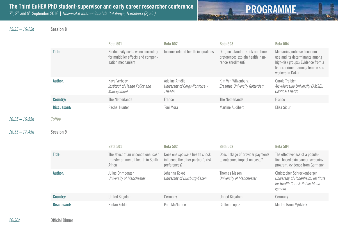

*15:35 – 16:25h* **Session 8**

|  | Sessio |  |  |
|--|--------|--|--|
|  |        |  |  |
|  |        |  |  |

|                  |                    | <b>Beta 501</b>                                                                              | <b>Beta 502</b>                                                                      | <b>Beta 503</b>                                                                          | <b>Beta 504</b>                                                                                                                                          |
|------------------|--------------------|----------------------------------------------------------------------------------------------|--------------------------------------------------------------------------------------|------------------------------------------------------------------------------------------|----------------------------------------------------------------------------------------------------------------------------------------------------------|
|                  | Title:             | Productivity costs when correcting<br>for multiplier effects and compen-<br>sation mechanism | Income-related health inequalities                                                   | Do (non-standard) risk and time<br>preferences explain health insu-<br>rance enrollment? | Measuring unbiased condom<br>use and its determinants among<br>high-risk groups: Evidence from a<br>list experiment among female sex<br>workers in Dakar |
|                  | Author:            | Kaya Verbooy<br>Instituut of Health Policy and<br>Management                                 | Adeline Amélie<br>University of Cergy-Pontoise -<br><b>THEMA</b>                     | Kim Van Wilgenburg<br><b>Erasmus University Rotterdam</b>                                | Carole Treibich<br>Aic-Marseille University (AMSE),<br><b>CNRS &amp; EHESS</b>                                                                           |
|                  | <b>Country:</b>    | The Netherlands                                                                              | France                                                                               | The Netherlands                                                                          | France                                                                                                                                                   |
|                  | <b>Discussant:</b> | Rachel Hunter                                                                                | Toni Mora                                                                            | Martine Audibert                                                                         | Elisa Sicuri                                                                                                                                             |
| $16:25 - 16:55h$ | Coffee             |                                                                                              |                                                                                      |                                                                                          |                                                                                                                                                          |
|                  |                    |                                                                                              |                                                                                      |                                                                                          |                                                                                                                                                          |
| $16:55 - 17:45h$ | <b>Session 9</b>   |                                                                                              |                                                                                      |                                                                                          |                                                                                                                                                          |
|                  |                    | <b>Beta 501</b>                                                                              | <b>Beta 502</b>                                                                      | <b>Beta 503</b>                                                                          | <b>Beta 504</b>                                                                                                                                          |
|                  | Title:             | The effect of an unconditional cash<br>transfer on mental health in South<br>Africa          | Does one spouse's health shock<br>influence the other partner's risk<br>preferences? | Does linkage of provider payments<br>to outcomes impact on costs?                        | The effectiveness of a popula-<br>tion-based skin cancer screening<br>program: evidence from Germany                                                     |
|                  | Author:            | Julius Ohrnberger<br><b>University of Manchester</b>                                         | Johanna Kokot<br>University of Duisburg-Essen                                        | <b>Thomas Mason</b><br>University of Manchester                                          | Christopher Schreckenberger<br>University of Hohenheim, Institute<br>for Health Care & Public Mana-<br>gement                                            |
|                  | <b>Country:</b>    | <b>United Kingdom</b>                                                                        | Germany                                                                              | <b>United Kingdom</b>                                                                    | Germany                                                                                                                                                  |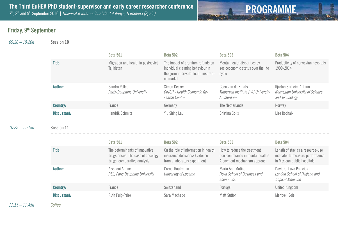

### **Friday, 9th September**

*09:30 – 10:20h* **Session 10**

|                   | <b>Beta 501</b>                                  | <b>Beta 502</b>                                                                                                         | <b>Beta 503</b>                                                             | <b>Beta 504</b>                                                             |
|-------------------|--------------------------------------------------|-------------------------------------------------------------------------------------------------------------------------|-----------------------------------------------------------------------------|-----------------------------------------------------------------------------|
| Title:            | Migration and health in postsoviet<br>Tajikistan | The impact of premium refunds on<br>individual claiming behaviour in<br>the german private health insuran-<br>ce market | Mental health disparities by<br>socioeconomic status over the life<br>cycle | Productivity of norwegian hospitals<br>1999-2014                            |
| Author:           | Sandra Pellet<br>Paris-Dauphine University       | Simon Decker<br>CINCH - Health Economic Re-<br>search Centre                                                            | Coen van de Kraats<br>TInbergen Institute / VU University<br>Amsterdam      | Kjartan Sarheim Anthun<br>Norwegian University of Science<br>and Technology |
| <b>Country:</b>   | France                                           | Germany                                                                                                                 | The Netherlands                                                             | Norway                                                                      |
| Discussant:       | Hendrik Schmitz                                  | Yiu Shing Lau                                                                                                           | Cristina Colls                                                              | Lise Rochaix                                                                |
| <b>Session 11</b> |                                                  |                                                                                                                         |                                                                             |                                                                             |
|                   |                                                  |                                                                                                                         |                                                                             |                                                                             |

|                 | <b>Beta 501</b>                                                                                     | <b>Beta 502</b>                                                                                       | <b>Beta 503</b>                                                                                 | <b>Beta 504</b>                                                                                     |
|-----------------|-----------------------------------------------------------------------------------------------------|-------------------------------------------------------------------------------------------------------|-------------------------------------------------------------------------------------------------|-----------------------------------------------------------------------------------------------------|
| Title:          | The determinants of innovative<br>drugs prices: The case of oncology<br>drugs, comparative analysis | On the role of information in health<br>insurance decisions: Evidence<br>from a laboratory experiment | How to reduce the treatment<br>non-compliance in mental health?<br>A payment mechanism approach | Length of stay as a resource-use<br>indicator to measure performance<br>in Mexican public hospitals |
| Author:         | Aissaoui Amine<br>PSL, Paris Dauphine University                                                    | Cornel Kaufmann<br>University of Lucerne                                                              | Maria Ana Matias<br>Nova School of Business and<br>Economics                                    | David G. Lugo Palacios<br>London School of Hygiene and<br>Tropical Medicine                         |
| <b>Country:</b> | France                                                                                              | Switzerland                                                                                           | Portugal                                                                                        | United Kingdom                                                                                      |
| Discussant:     | Ruth Puig-Peiro                                                                                     | Sara Machado                                                                                          | <b>Matt Sutton</b>                                                                              | Meritxell Sole                                                                                      |
| Coffee          |                                                                                                     |                                                                                                       |                                                                                                 |                                                                                                     |

*11:15 – 11:45h Coffee*

 $10:25 - 11:15h$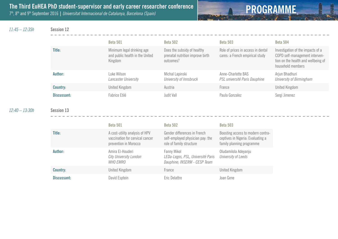

*11:45 – 12:35h* **Session 12**

|                 | <b>Beta 501</b>                                                          | <b>Beta 502</b>                                                              | <b>Beta 503</b>                                                       | <b>Beta 504</b>                                                                                                                 |
|-----------------|--------------------------------------------------------------------------|------------------------------------------------------------------------------|-----------------------------------------------------------------------|---------------------------------------------------------------------------------------------------------------------------------|
| Title:          | Minimum legal drinking age<br>and public health in the United<br>Kingdom | Does the subsidy of healthy<br>prenatal nutrition improve birth<br>outcomes? | Role of prices in access in dental<br>cares: a French empirical study | Investigation of the impacts of a<br>COPD self-management interven-<br>tion on the health and wellbeing of<br>household members |
| Author:         | Luke Wilson-<br>Lancaster University                                     | Michal Lapinski<br>University of Innsbruck                                   | Anne-Charlotte BAS<br>PSL université Paris Dauphine                   | Arjun Bhadhuri<br>University of Birmingham                                                                                      |
| <b>Country:</b> | United Kingdom                                                           | Austria                                                                      | France                                                                | United Kingdom                                                                                                                  |
| Discussant:     | Fabrice Etilé                                                            | Judit Vall                                                                   | Paula Gonzalez                                                        | Sergi Jimenez                                                                                                                   |

*12:40 – 13:30h* **Session 13**

|                 | <b>Beta 501</b>                                                                            | <b>Beta 502</b>                                                                              | <b>Beta 503</b>                                                                                     |
|-----------------|--------------------------------------------------------------------------------------------|----------------------------------------------------------------------------------------------|-----------------------------------------------------------------------------------------------------|
| Title:          | A cost-utility analysis of HPV<br>vaccination for cervical cancer<br>prevention in Morocco | Gender differences in French<br>self-employed physician pay: the<br>role of family structure | Boosting access to modern contra-<br>ceptives in Nigeria: Evaluating a<br>family planning programme |
| Author:         | Amira El-Houderi<br><b>City University London</b><br><i>WHO EMRO</i>                       | Fanny Mikol<br>LEDa-Legos, PSL, Université Paris<br>Dauphine; INSERM - CESP Team             | Oludamilola Adeyanju<br>University of Leeds                                                         |
| <b>Country:</b> | United Kingdom                                                                             | France                                                                                       | <b>United Kingdom</b>                                                                               |
| Discussant:     | David Esptein                                                                              | Eric Delattre                                                                                | Joan Gene                                                                                           |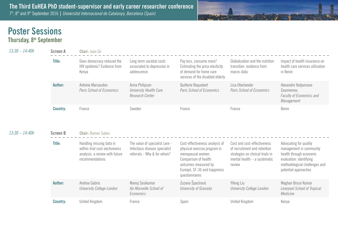

## **Poster Sessions**

**Thursday, 8th September**

| 13:30 - 14:40h   | <b>Screen A</b> | Chair: Joan Gil                                                                                                |                                                                                                |                                                                                                                                                                                       |                                                                                                                                           |                                                                                                                                                                  |
|------------------|-----------------|----------------------------------------------------------------------------------------------------------------|------------------------------------------------------------------------------------------------|---------------------------------------------------------------------------------------------------------------------------------------------------------------------------------------|-------------------------------------------------------------------------------------------------------------------------------------------|------------------------------------------------------------------------------------------------------------------------------------------------------------------|
|                  | Title:          | Does democracy reduced the<br>HIV epidemic? Evidence from<br>Kenya                                             | Long-term societal costs<br>associated to depression in<br>adolescence                         | Pay less, consume more?<br>Estimating the price elasticity<br>of demand for home care<br>services of the disabled elderly                                                             | Globalization and the nutrition<br>transition: evidence from<br>macro-data                                                                | Impact of health insurance on<br>health care services utilization<br>in Benin                                                                                    |
|                  | Author:         | Antoine Marsaudon<br>Paris School of Economics                                                                 | Anna Philipson<br>University Health Care<br>Research Center                                    | Quitterie Roquebert<br>Paris School of Economics                                                                                                                                      | Lisa Oberlander<br>Paris School of Economics                                                                                              | Alexandre Yedjannavo<br>Zounmenou<br>Faculty of Economics and<br>Management                                                                                      |
|                  | <b>Country:</b> | France                                                                                                         | Sweden                                                                                         | France                                                                                                                                                                                | France                                                                                                                                    | Benin                                                                                                                                                            |
| $13:30 - 14:40h$ | <b>Screen B</b> | <b>Chair: Ramon Sabes</b>                                                                                      |                                                                                                |                                                                                                                                                                                       |                                                                                                                                           |                                                                                                                                                                  |
|                  | Title:          | Handling missing data in<br>within-trial cost-eectiveness<br>analysis: a review with future<br>recommendations | The value of specialist care -<br>Infectious disease specialist<br>referrals - Why & for whom? | Cost-effectiveness analysis of<br>physical exercise program in<br>menopausal women.<br>Comparison of health<br>outcomes measured by<br>Euroqol, SF-36 and happiness<br>questionnaires | Cost and cost-effectiveness<br>of recruitment and retention<br>strategies on clinical trials in<br>mental health - a systematic<br>review | Advocating for quality<br>management in community<br>health through economic<br>evaluation: identifying<br>methodological challenges and<br>potential approaches |
|                  | Author:         | Andrea Gabrio<br><b>University College London</b>                                                              | Manoj Sasikumar<br>Aix Marseille School of<br>Economics                                        | Zuzana Špacírová<br>University of Granada                                                                                                                                             | Yifeng Liu<br>University College London                                                                                                   | Meghan Bruce Kumar<br>Liverpool School of Tropical<br>Medicine                                                                                                   |
|                  |                 |                                                                                                                |                                                                                                |                                                                                                                                                                                       |                                                                                                                                           |                                                                                                                                                                  |